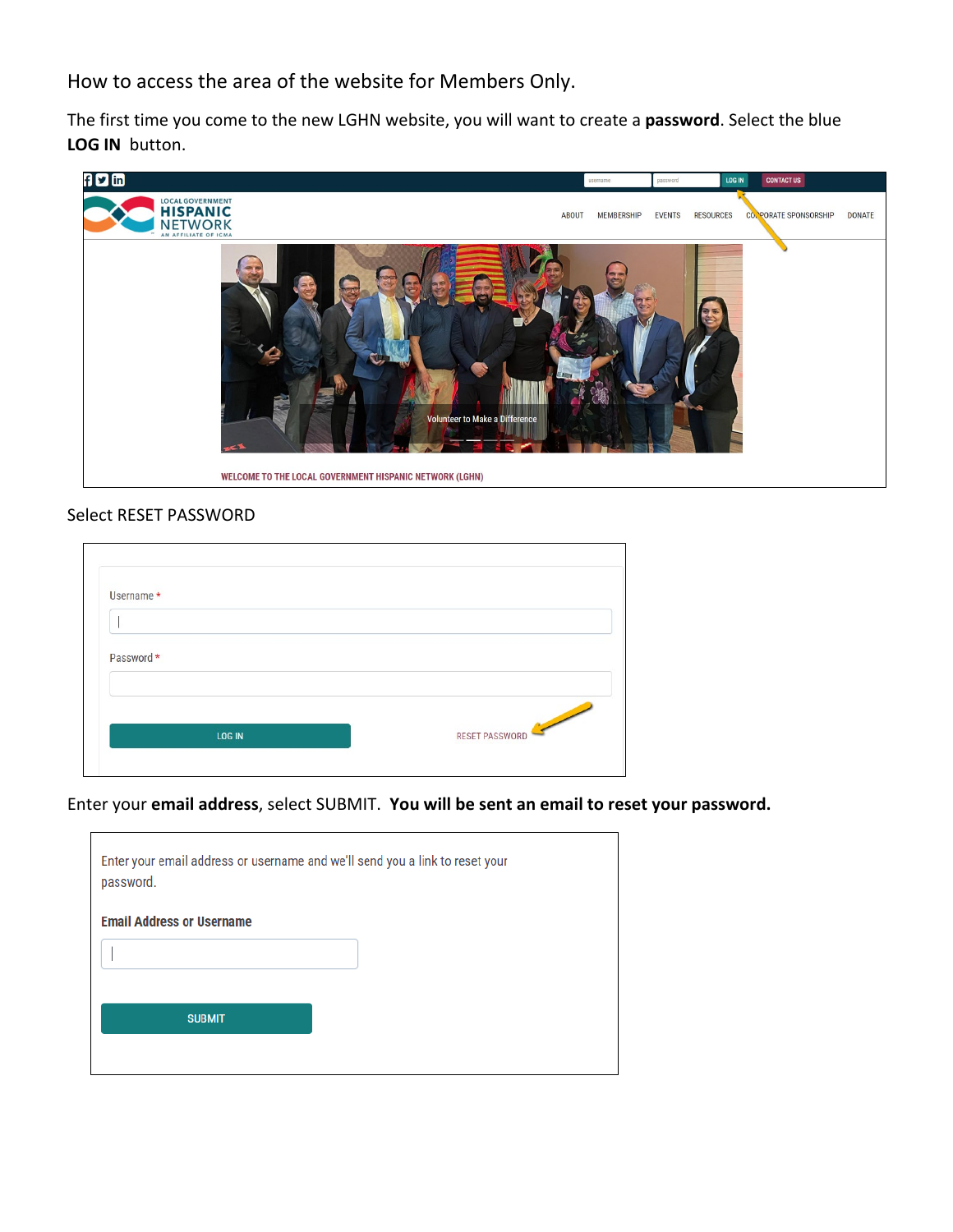How to access the area of the website for Members Only.

The first time you come to the new LGHN website, you will want to create a **password**. Select the blue **LOG IN** button.



## Select RESET PASSWORD

| Username *    |                |
|---------------|----------------|
|               |                |
|               |                |
|               |                |
| Password *    |                |
|               |                |
|               |                |
|               |                |
|               | RESET PASSWORD |
| <b>LOG IN</b> |                |

Enter your **email address**, select SUBMIT. **You will be sent an email to reset your password.**

| Enter your email address or username and we'll send you a link to reset your<br>password. |
|-------------------------------------------------------------------------------------------|
| <b>Email Address or Username</b>                                                          |
|                                                                                           |
|                                                                                           |
| <b>SUBMIT</b>                                                                             |
|                                                                                           |
|                                                                                           |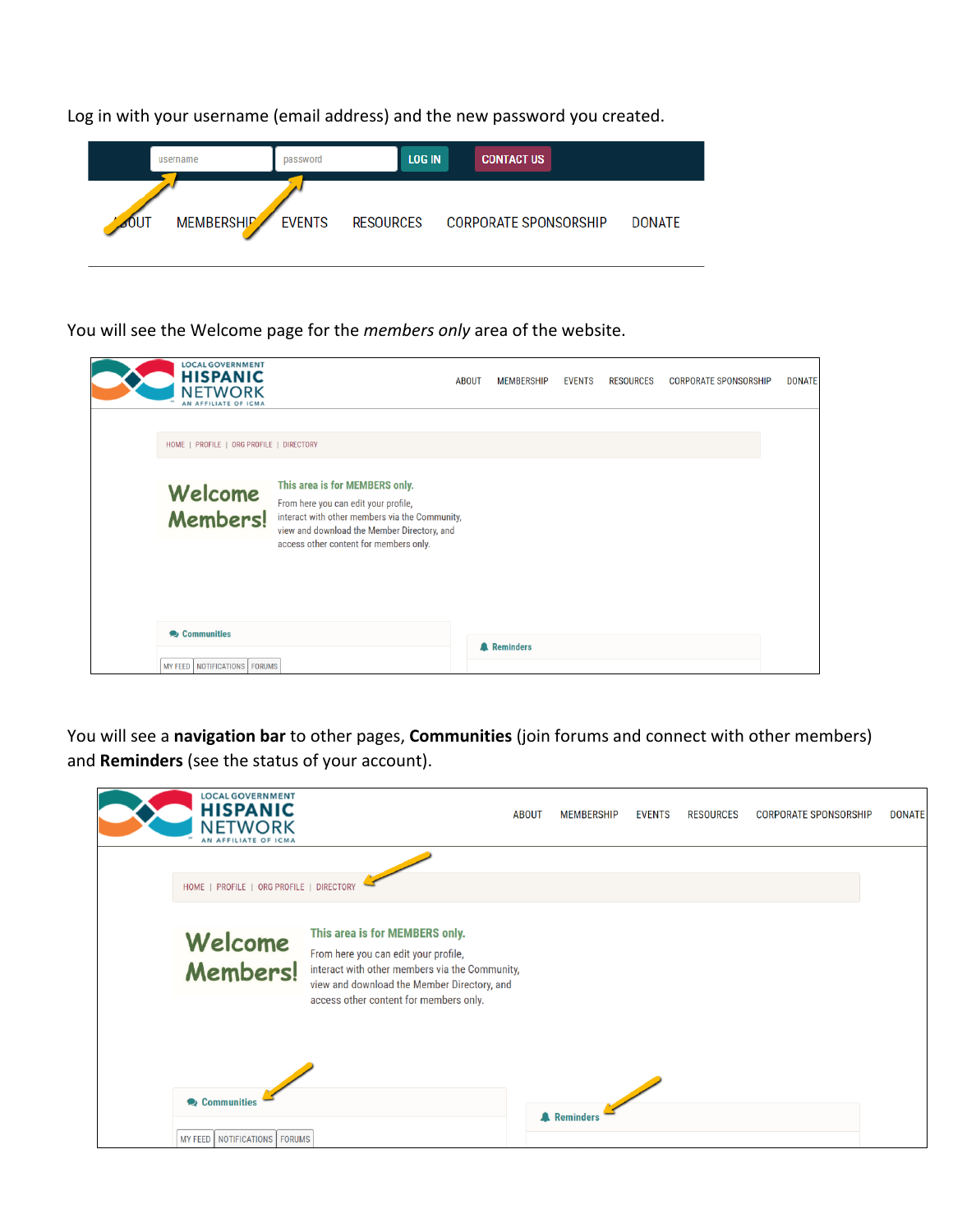Log in with your username (email address) and the new password you created.



You will see the Welcome page for the *members only* area of the website.

| <b>LOCAL GOVERNMENT</b><br><b>HISPANIC</b><br>NETWORK<br>AN AFFILIATE OF ICMA |                                                                                                                                                                                                                   | <b>ABOUT</b> | <b>MEMBERSHIP</b>  | <b>EVENTS</b> | <b>RESOURCES</b> | <b>CORPORATE SPONSORSHIP</b> | <b>DONATE</b> |
|-------------------------------------------------------------------------------|-------------------------------------------------------------------------------------------------------------------------------------------------------------------------------------------------------------------|--------------|--------------------|---------------|------------------|------------------------------|---------------|
| HOME   PROFILE   ORG PROFILE   DIRECTORY                                      |                                                                                                                                                                                                                   |              |                    |               |                  |                              |               |
| Welcome<br><b>Members!</b>                                                    | This area is for MEMBERS only.<br>From here you can edit your profile,<br>interact with other members via the Community,<br>view and download the Member Directory, and<br>access other content for members only. |              |                    |               |                  |                              |               |
| Communities<br>NOTIFICATIONS   FORUMS<br>MY FEED                              |                                                                                                                                                                                                                   |              | <b>A</b> Reminders |               |                  |                              |               |

You will see a **navigation bar** to other pages, **Communities** (join forums and connect with other members) and **Reminders** (see the status of your account).

| <b>LOCAL GOVERNMENT</b><br><b>HISPANIC</b><br>NET<br><b>WORK</b><br>AN AFFILIATE OF ICMA |                                                                                                                                                                                                                   | <b>ABOUT</b> | <b>MEMBERSHIP</b>  | <b>EVENTS</b> | <b>RESOURCES</b> | <b>CORPORATE SPONSORSHIP</b> | <b>DONATE</b> |
|------------------------------------------------------------------------------------------|-------------------------------------------------------------------------------------------------------------------------------------------------------------------------------------------------------------------|--------------|--------------------|---------------|------------------|------------------------------|---------------|
| HOME   PROFILE   ORG PROFILE   DIRECTORY                                                 |                                                                                                                                                                                                                   |              |                    |               |                  |                              |               |
| Welcome<br><b>Members!</b>                                                               | This area is for MEMBERS only.<br>From here you can edit your profile,<br>interact with other members via the Community,<br>view and download the Member Directory, and<br>access other content for members only. |              |                    |               |                  |                              |               |
| Communities<br>MY FEED   NOTIFICATIONS   FORUMS                                          |                                                                                                                                                                                                                   |              | <b>A</b> Reminders |               |                  |                              |               |